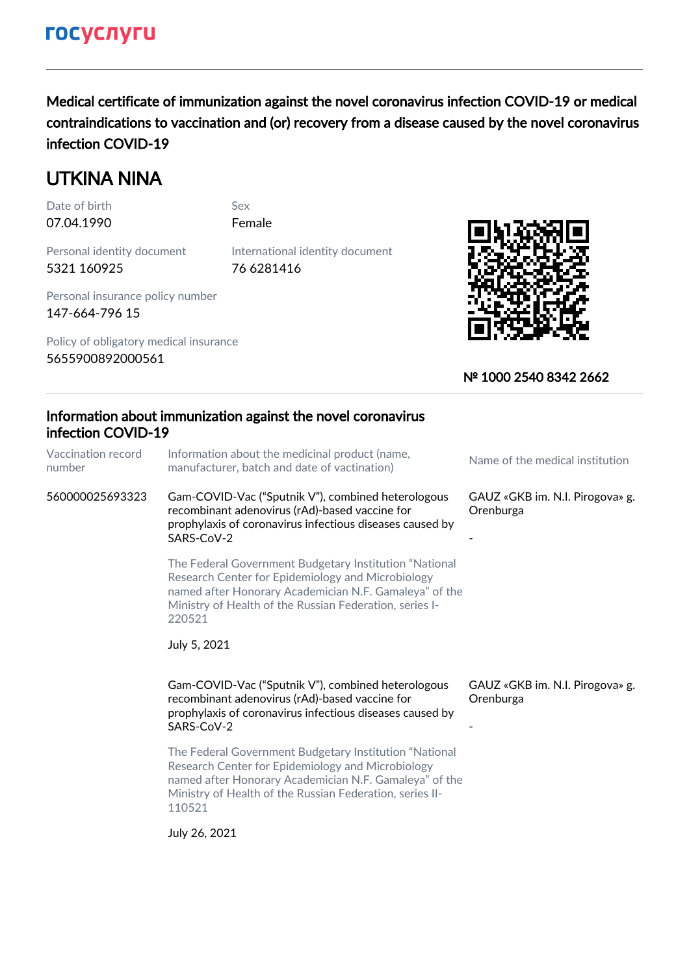Medical certificate of immunization against the novel coronavirus infection COVID-19 or medical contraindications to vaccination and (or) recovery from a disease caused by the novel coronavirus infection COVID-19

# UTKINA NINA

07.04.1990 Female Date of birth Sex

Personal identity document 5321 160925

76 6281416 International identity document

Personal insurance policy number 147-664-796 15

Policy of obligatory medical insurance 5655900892000561



## № 1000 2540 8342 2662

### Information about immunization against the novel coronavirus infection COVID-19 Vaccination record number Information about the medicinal product (name, miorination about the medicinal product (name,<br>manufacturer, batch and date of vactination) 560000025693323 Gam-COVID-Vac ("Sputnik V"), combined heterologous recombinant adenovirus (rAd)-based vaccine for prophylaxis of coronavirus infectious diseases caused by SARS-CoV-2 GAUZ «GKB im. N.I. Pirogova» g. Orenburga - The Federal Government Budgetary Institution "National Research Center for Epidemiology and Microbiology named after Honorary Academician N.F. Gamaleya" of the Ministry of Health of the Russian Federation, series I-220521 July 5, 2021 Gam-COVID-Vac ("Sputnik V"), combined heterologous recombinant adenovirus (rAd)-based vaccine for prophylaxis of coronavirus infectious diseases caused by SARS-CoV-2 GAUZ «GKB im. N.I. Pirogova» g. Orenburga - The Federal Government Budgetary Institution "National Research Center for Epidemiology and Microbiology named after Honorary Academician N.F. Gamaleya" of the Ministry of Health of the Russian Federation, series II-110521 July 26, 2021